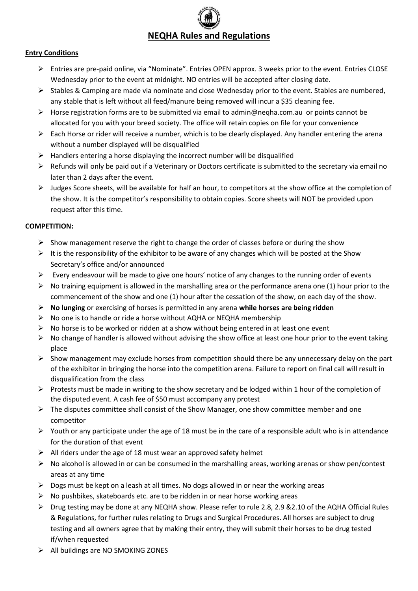# **NEQHA Rules and Regulations**

## **Entry Conditions**

- ➢ Entries are pre-paid online, via "Nominate". Entries OPEN approx. 3 weeks prior to the event. Entries CLOSE Wednesday prior to the event at midnight. NO entries will be accepted after closing date.
- $\triangleright$  Stables & Camping are made via nominate and close Wednesday prior to the event. Stables are numbered, any stable that is left without all feed/manure being removed will incur a \$35 cleaning fee.
- ➢ Horse registration forms are to be submitted via email to [admin@neqha.com.au](mailto:admin@neqha.com.au) or points cannot be allocated for you with your breed society. The office will retain copies on file for your convenience
- ➢ Each Horse or rider will receive a number, which is to be clearly displayed. Any handler entering the arena without a number displayed will be disqualified
- ➢ Handlers entering a horse displaying the incorrect number will be disqualified
- $\triangleright$  Refunds will only be paid out if a Veterinary or Doctors certificate is submitted to the secretary via email no later than 2 days after the event.
- ➢ Judges Score sheets, will be available for half an hour, to competitors at the show office at the completion of the show. It is the competitor's responsibility to obtain copies. Score sheets will NOT be provided upon request after this time.

# **COMPETITION:**

- $\triangleright$  Show management reserve the right to change the order of classes before or during the show
- $\triangleright$  It is the responsibility of the exhibitor to be aware of any changes which will be posted at the Show Secretary's office and/or announced
- $\triangleright$  Every endeavour will be made to give one hours' notice of any changes to the running order of events
- $\triangleright$  No training equipment is allowed in the marshalling area or the performance arena one (1) hour prior to the commencement of the show and one (1) hour after the cessation of the show, on each day of the show.
- ➢ **No lunging** or exercising of horses is permitted in any arena **while horses are being ridden**
- ➢ No one is to handle or ride a horse without AQHA or NEQHA membership
- $\triangleright$  No horse is to be worked or ridden at a show without being entered in at least one event
- $\triangleright$  No change of handler is allowed without advising the show office at least one hour prior to the event taking place
- $\triangleright$  Show management may exclude horses from competition should there be any unnecessary delay on the part of the exhibitor in bringing the horse into the competition arena. Failure to report on final call will result in disqualification from the class
- $\triangleright$  Protests must be made in writing to the show secretary and be lodged within 1 hour of the completion of the disputed event. A cash fee of \$50 must accompany any protest
- $\triangleright$  The disputes committee shall consist of the Show Manager, one show committee member and one competitor
- $\triangleright$  Youth or any participate under the age of 18 must be in the care of a responsible adult who is in attendance for the duration of that event
- $\triangleright$  All riders under the age of 18 must wear an approved safety helmet
- $\triangleright$  No alcohol is allowed in or can be consumed in the marshalling areas, working arenas or show pen/contest areas at any time
- $\triangleright$  Dogs must be kept on a leash at all times. No dogs allowed in or near the working areas
- $\triangleright$  No pushbikes, skateboards etc. are to be ridden in or near horse working areas
- ➢ Drug testing may be done at any NEQHA show. Please refer to rule 2.8, 2.9 &2.10 of the AQHA Official Rules & Regulations, for further rules relating to Drugs and Surgical Procedures. All horses are subject to drug testing and all owners agree that by making their entry, they will submit their horses to be drug tested if/when requested
- ➢ All buildings are NO SMOKING ZONES